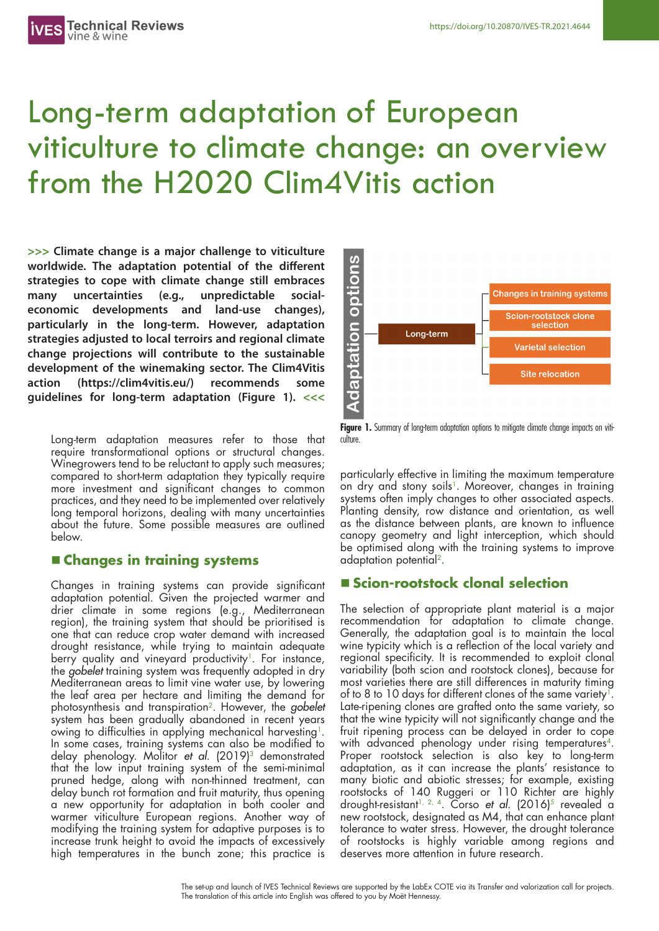# Long-term adaptation of European viticulture to climate change: an overview from the H2020 Clim4Vitis action

**>>> Climate change is a major challenge to viticulture worldwide. The adaptation potential of the different strategies to cope with climate change still embraces many uncertainties (e.g., unpredictable socialeconomic developments and land-use changes), particularly in the long-term. However, adaptation strategies adjusted to local terroirs and regional climate change projections will contribute to the sustainable development of the winemaking sector. The Clim4Vitis action (https://clim4vitis.eu/) recommends some guidelines for long-term adaptation (Figure 1). <<<**

Long-term adaptation measures refer to those that require transformational options or structural changes. Winegrowers tend to be reluctant to apply such measures; compared to short-term adaptation they typically require more investment and significant changes to common practices, and they need to be implemented over relatively long temporal horizons, dealing with many uncertainties about the future. Some possible measures are outlined below.

## n **Changes in training systems**

Changes in training systems can provide significant adaptation potential. Given the projected warmer and drier climate in some regions (e.g., Mediterranean region), the training system that should be prioritised is one that can reduce crop water demand with increased drought resistance, while trying to maintain adequate berry quality and vineyard productivity<sup>1</sup>. For instance, the *gobelet* training system was frequently adopted in dry Mediterranean areas to limit vine water use, by lowering the leaf area per hectare and limiting the demand for photosynthesis and transpiration2. However, the *gobelet* system has been gradually abandoned in recent years owing to difficulties in applying mechanical harvesting<sup>1</sup>. In some cases, training systems can also be modified to delay phenology. Molitor *et al.* (2019)<sup>3</sup> demonstrated that the low input training system of the semi-minimal pruned hedge, along with non-thinned treatment, can delay bunch rot formation and fruit maturity, thus opening a new opportunity for adaptation in both cooler and warmer viticulture European regions. Another way of modifying the training system for adaptive purposes is to increase trunk height to avoid the impacts of excessively high temperatures in the bunch zone; this practice is



Figure 1. Summary of long-term adaptation options to mitigate climate change impacts on viticulture.

particularly effective in limiting the maximum temperature on dry and stony soils<sup>1</sup>. Moreover, changes in training systems often imply changes to other associated aspects. Planting density, row distance and orientation, as well as the distance between plants, are known to influence canopy geometry and light interception, which should be optimised along with the training systems to improve adaptation potential2.

### n **Scion-rootstock clonal selection**

The selection of appropriate plant material is a major recommendation for adaptation to climate change. Generally, the adaptation goal is to maintain the local wine typicity which is a reflection of the local variety and regional specificity. It is recommended to exploit clonal variability (both scion and rootstock clones), because for most varieties there are still differences in maturity timing of to 8 to 10 days for different clones of the same variety<sup>1</sup>. Late-ripening clones are grafted onto the same variety, so that the wine typicity will not significantly change and the fruit ripening process can be delayed in order to cope with advanced phenology under rising temperatures<sup>4</sup>. Proper rootstock selection is also key to long-term adaptation, as it can increase the plants' resistance to many biotic and abiotic stresses; for example, existing rootstocks of 140 Ruggeri or 110 Richter are highly drought-resistant<sup>1, 2, 4</sup>. Corso *et al.* (2016)<sup>5</sup> revealed a new rootstock, designated as M4, that can enhance plant tolerance to water stress. However, the drought tolerance of rootstocks is highly variable among regions and deserves more attention in future research.